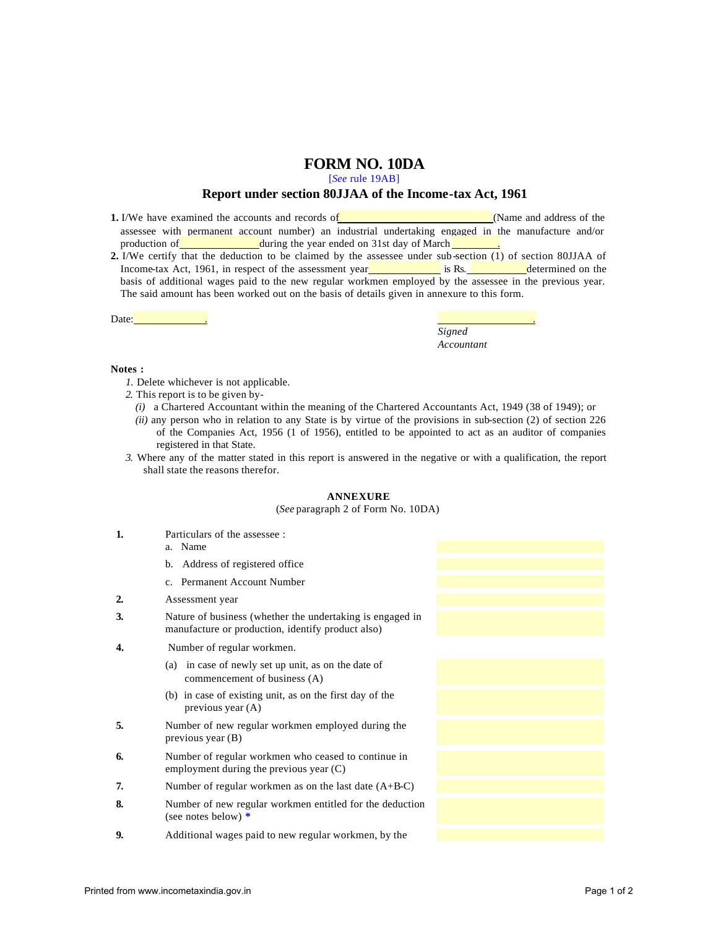## **FORM NO. 10DA**

[*See* rule 19AB]

## **Report under section 80JJAA of the Income-tax Act, 1961**

- **1.** I/We have examined the accounts and records of **CONFINENTIAL CONFIDENT** (Name and address of the assessee with permanent account number) an industrial undertaking engaged in the manufacture and/or production of during the year ended on 31st day of March
- **2.** I/We certify that the deduction to be claimed by the assessee under sub-section (1) of section 80JJAA of Income-tax Act, 1961, in respect of the assessment year is Rs. determined on the basis of additional wages paid to the new regular workmen employed by the assessee in the previous year. The said amount has been worked out on the basis of details given in annexure to this form.

Date: . .

| Notes<br>٠ |  |
|------------|--|
|------------|--|

- *1.* Delete whichever is not applicable.
- *2.* This report is to be given by-
	- *(i)* a Chartered Accountant within the meaning of the Chartered Accountants Act, 1949 (38 of 1949); or

*Accountant* 

- *(ii)* any person who in relation to any State is by virtue of the provisions in sub-section (2) of section 226 of the Companies Act, 1956 (1 of 1956), entitled to be appointed to act as an auditor of companies registered in that State.
- *3.* Where any of the matter stated in this report is answered in the negative or with a qualification, the report shall state the reasons therefor.

## **ANNEXURE**

## (*See* paragraph 2 of Form No. 10DA)

- **1.** Particulars of the assessee :
	- a. Name
	- b. Address of registered office
	- c. Permanent Account Number
- **2.** Assessment year
- **3.** Nature of business (whether the undertaking is engaged in manufacture or production, identify product also)

*Signed* 

- **4.** Number of regular workmen.
	- (a) in case of newly set up unit, as on the date of commencement of business (A)
	- (b) in case of existing unit, as on the first day of the previous year (A)
- **5.** Number of new regular workmen employed during the previous year (B)
- **6.** Number of regular workmen who ceased to continue in employment during the previous year (C)
- **7.** Number of regular workmen as on the last date (A+B-C)
- **8.** Number of new regular workmen entitled for the deduction (see notes below) **\***
- **9.** Additional wages paid to new regular workmen, by the